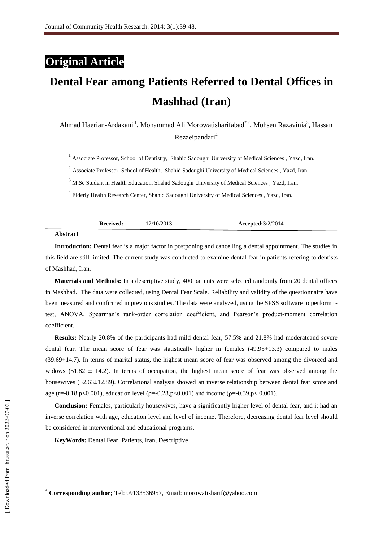# **Original Article**

# **Dental Fear among Patients Referred to Dental Offices in Mashhad (Iran)**

Ahmad Haerian-Ardakani<sup>1</sup>, Mohammad Ali Morowatisharifabad<sup>\*2</sup>, Mohsen Razavinia<sup>3</sup>, Hassan Rezaeipandari<sup>4</sup>

<sup>1</sup> Associate Professor, School of Dentistry, Shahid Sadoughi University of Medical Sciences, Yazd, Iran.

<sup>2</sup> Associate Professor, School of Health, Shahid Sadoughi University of Medical Sciences, Yazd, Iran.

<sup>3</sup> M.Sc Student in Health Education, Shahid Sadoughi University of Medical Sciences, Yazd, Iran.

4 Elderly Health Research Center, Shahid Sadoughi University of Medical Sciences , Yazd, Iran.

|                  | Received: | 12/10/2013 | <b>Accepted:</b> 3/2/2014 |
|------------------|-----------|------------|---------------------------|
| $\Delta$ hotmost |           |            |                           |

**Abstract**

**Introduction:** Dental fear is a major factor in postponing and cancelling a dental appointment. The studies in this field are still limited. The current study was conducted to examine dental fear in patients refering to [dentists](http://thedentistsoffice.com/)  of Mashhad, Iran.

**Materials and Methods:** In a descriptive study, 400 patients were selected randomly from 20 dental offices in Mashhad. The data were collected, using Dental Fear Scale. Reliability and validity of the questionnaire have been measured and confirmed in previous studies. The data were analyzed, using the SPSS software to perform ttest, ANOVA, [Spearman's rank-order correlation coefficient, and Pearson's product-moment correlation](http://irthoughts.wordpress.com/2008/08/28/spearman-and-pearson-correlation-coefficients/)  [coefficient.](http://irthoughts.wordpress.com/2008/08/28/spearman-and-pearson-correlation-coefficients/) 

**Results:** Nearly 20.8% of the participants had mild dental fear, 57.5% and 21.8% had moderateand severe dental fear. The mean score of fear was statistically higher in females (49.95±13.3) compared to males (39.69±14.7). In terms of marital status, the highest mean score of fear was observed among the divorced and widows (51.82  $\pm$  14.2). In terms of occupation, the highest mean score of fear was observed among the housewives (52.63±12.89). Correlational analysis showed an inverse relationship between dental fear score and age (r=-0.18,p<0.001), education level ( $p=-0.28$ ,p<0.001) and income ( $p=-0.39$ ,p<0.001).

**Conclusion:** Females, particularly housewives, have a significantly higher level of dental fear, and it had an inverse correlation with age, education level and level of income. Therefore, decreasing dental fear level should be considered in interventional and educational programs.

**KeyWords:** Dental Fear, Patients, Iran, Descriptive

 $\overline{\phantom{a}}$ 

<sup>\*</sup> **Corresponding author;** Tel: 09133536957, Email[: morowatisharif@yahoo.com](mailto:morowatisharif@yahoo.com)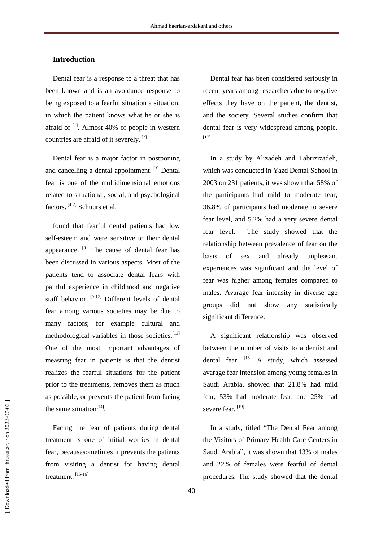#### **Introduction**

Dental fear is a response to a threat that has been known and is an avoidance response to being exposed to a fearful situation a situation, in which the patient knows what he or she is afraid of  $^{[1]}$ . Almost 40% of people in western countries are afraid of it severely. [2]

Dental fear is a major factor in postponing and cancelling a dental appointment. [3] Dental fear is one of the multidimensional emotions related to situational, social, and psychological factors. [4-7] Schuurs et al.

found that fearful dental patients had low self-esteem and were sensitive to their dental appearance. [8] The cause of dental fear has been discussed in various aspects. Most of the patients tend to associate dental fears with painful experience in childhood and negative staff behavior. <sup>[9-12]</sup> Different levels of dental fear among various societies may be due to many factors; for example cultural and methodological variables in those societies.<sup>[13]</sup> One of the most important advantages of measring fear in patients is that the dentist realizes the fearful situations for the patient prior to the treatments, removes them as much as possible, or prevents the patient from facing the same situation<sup>[14]</sup>.

Facing the fear of patients during dental treatment is one of initial worries in dental fear, becausesometimes it prevents the patients from visiting a dentist for having dental treatment. [15-16]

Dental fear has been considered seriously in recent years among researchers due to negative effects they have on the patient, the dentist, and the society. Several studies confirm that dental fear is very widespread among people. [17]

In a study by Alizadeh and Tabrizizadeh, which was conducted in Yazd Dental School in 2003 on 231 patients, it was shown that 58% of the participants had mild to moderate fear, 36.8% of participants had moderate to severe fear level, and 5.2% had a very severe dental fear level. The study showed that the relationship between prevalence of fear on the basis of sex and already unpleasant experiences was significant and the level of fear was higher among females compared to males. Avarage fear intensity in diverse age groups did not show any statistically significant difference.

A significant relationship was observed between the number of visits to a dentist and dental fear. [18] A study, which assessed avarage fear intension among young females in Saudi Arabia, showed that 21.8% had mild fear, 53% had moderate fear, and 25% had severe fear.<sup>[19]</sup>

In a study, titled "The Dental Fear among the Visitors of Primary Health Care Centers in Saudi Arabia", it was shown that 13% of males and 22% of females were fearful of dental procedures. The study showed that the dental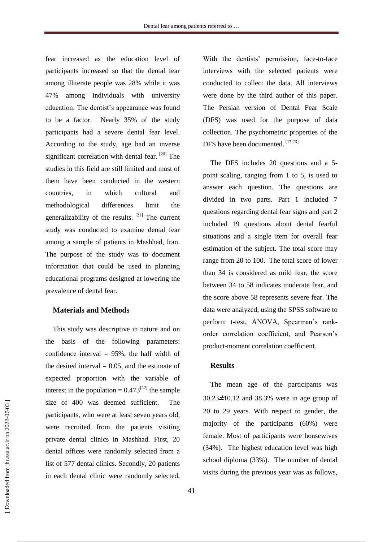fear increased as the education level of participants increased so that the dental fear among illiterate people was 28% while it was 47% among individuals with university education. The dentist's appearance was found to be a factor. Nearly 35% of the study participants had a severe dental fear level. According to the study, age had an inverse significant correlation with dental fear. [20] The studies in this field are still limited and most of them have been conducted in the western countries, in which cultural and methodological differences limit the generalizability of the results. [21] The current study was conducted to examine dental fear among a sample of patients in Mashhad, Iran. The purpose of the study was to document information that could be used in planning educational programs designed at lowering the prevalence of dental fear.

#### **Materials and Methods**

This study was descriptive in nature and on the basis of the following parameters: confidence interval  $= 95\%$ , the half width of the desired interval  $= 0.05$ , and the estimate of expected proportion with the variable of interest in the population =  $0.473^{[22]}$  the sample size of 400 was deemed sufficient. The participants, who were at least seven years old, were recruited from the patients visiting private dental clinics in Mashhad. First, 20 dental offices were randomly selected from a list of 577 dental clinics. Secondly, 20 patients in each dental clinic were randomly selected.

With the dentists' permission, face-to-face interviews with the selected patients were conducted to collect the data. All interviews were done by the third author of this paper. The Persian version of Dental Fear Scale (DFS) was used for the purpose of data collection. The psychometric properties of the DFS have been documented. [17,23]

The DFS includes 20 questions and a 5 point scaling, ranging from 1 to 5, is used to answer each question. The questions are divided in two parts. Part 1 included 7 questions regarding dental fear signs and part 2 included 19 questions about dental fearful situations and a single item for overall fear estimation of the subject. The total score may range from 20 to 100. The total score of lower than 34 is considered as mild fear, the score between 34 to 58 indicates moderate fear, and the score above 58 represents severe fear. The data were analyzed, using the SPSS software to perform t-test, ANOVA, [Spearman's rank](http://irthoughts.wordpress.com/2008/08/28/spearman-and-pearson-correlation-coefficients/)[order correlation coefficient, and Pearson's](http://irthoughts.wordpress.com/2008/08/28/spearman-and-pearson-correlation-coefficients/)  [product-moment correlation coefficient.](http://irthoughts.wordpress.com/2008/08/28/spearman-and-pearson-correlation-coefficients/)

#### **Results**

The mean age of the participants was 30.23**±**10.12 and 38.3% were in age group of 20 to 29 years. With respect to gender, the majority of the participants (60%) were female. Most of participants were housewives (34%). The highest education level was high school diploma (33%). The number of dental visits during the previous year was as follows,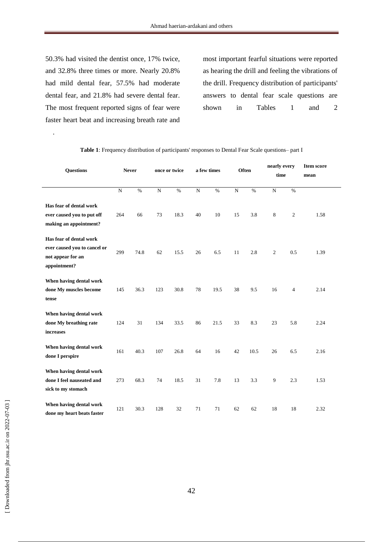50.3% had visited the dentist once, 17% twice, and 32.8% three times or more. Nearly 20.8% had mild dental fear, 57.5% had moderate dental fear, and 21.8% had severe dental fear. The most frequent reported signs of fear were faster heart beat and increasing breath rate and

.

most important fearful situations were reported as hearing the drill and feeling the vibrations of the drill. Frequency distribution of participants' answers to dental fear scale questions are shown in Tables 1 and 2

| <b>Questions</b>                                                                             |                | <b>Never</b> |                | once or twice |                | a few times |                | Often | nearly every<br>time |                | <b>Item score</b><br>mean |
|----------------------------------------------------------------------------------------------|----------------|--------------|----------------|---------------|----------------|-------------|----------------|-------|----------------------|----------------|---------------------------|
|                                                                                              | $\overline{N}$ | $\%$         | $\overline{N}$ | $\%$          | $\overline{N}$ | $\%$        | $\overline{N}$ | $\%$  | ${\bf N}$            | %              |                           |
| Has fear of dental work<br>ever caused you to put off<br>making an appointment?              | 264            | 66           | 73             | 18.3          | 40             | 10          | 15             | 3.8   | 8                    | $\mathbf{2}$   | 1.58                      |
| Has fear of dental work<br>ever caused you to cancel or<br>not appear for an<br>appointment? | 299            | 74.8         | 62             | 15.5          | 26             | 6.5         | 11             | 2.8   | $\boldsymbol{2}$     | 0.5            | 1.39                      |
| When having dental work<br>done My muscles become<br>tense                                   | 145            | 36.3         | 123            | 30.8          | 78             | 19.5        | 38             | 9.5   | 16                   | $\overline{4}$ | 2.14                      |
| When having dental work<br>done My breathing rate<br><b>increases</b>                        | 124            | 31           | 134            | 33.5          | 86             | 21.5        | 33             | 8.3   | 23                   | 5.8            | 2.24                      |
| When having dental work<br>done I perspire                                                   | 161            | 40.3         | 107            | 26.8          | 64             | 16          | 42             | 10.5  | 26                   | 6.5            | 2.16                      |
| When having dental work<br>done I feel nauseated and<br>sick to my stomach                   | 273            | 68.3         | 74             | 18.5          | 31             | 7.8         | 13             | 3.3   | 9                    | 2.3            | 1.53                      |
| When having dental work<br>done my heart beats faster                                        | 121            | 30.3         | 128            | 32            | 71             | 71          | 62             | 62    | 18                   | 18             | 2.32                      |

**Table 1**: Frequency distribution of participants' responses to Dental Fear Scale questions– part I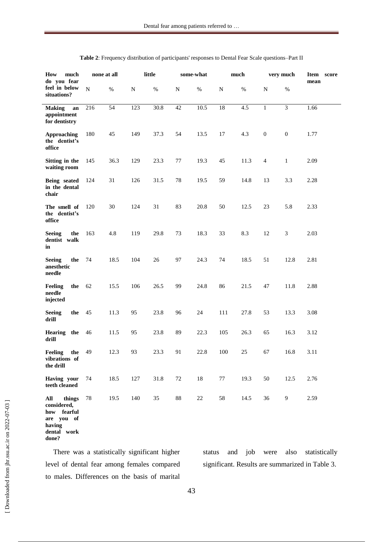| much<br>How<br>do you fear                                                         | none at all |                 | little    |      | some-what   |        | much            |      | very much        |                  | Item score<br>mean |
|------------------------------------------------------------------------------------|-------------|-----------------|-----------|------|-------------|--------|-----------------|------|------------------|------------------|--------------------|
| feel in below<br>situations?                                                       | ${\bf N}$   | $\%$            | ${\bf N}$ | $\%$ | $\mathbf N$ | $\%$   | $\mathbf N$     | $\%$ | N                | $\%$             |                    |
| <b>Making</b><br>an<br>appointment<br>for dentistry                                | 216         | $\overline{54}$ | 123       | 30.8 | 42          | 10.5   | $\overline{18}$ | 4.5  | $\mathbf{1}$     | $\overline{3}$   | 1.66               |
| <b>Approaching</b><br>the dentist's<br>office                                      | 180         | 45              | 149       | 37.3 | 54          | 13.5   | 17              | 4.3  | $\boldsymbol{0}$ | $\boldsymbol{0}$ | 1.77               |
| Sitting in the<br>waiting room                                                     | 145         | 36.3            | 129       | 23.3 | 77          | 19.3   | 45              | 11.3 | $\overline{4}$   | $\mathbf{1}$     | 2.09               |
| Being seated<br>in the dental<br>chair                                             | 124         | 31              | 126       | 31.5 | 78          | 19.5   | 59              | 14.8 | 13               | 3.3              | 2.28               |
| The smell of<br>the dentist's<br>office                                            | 120         | 30              | 124       | 31   | 83          | 20.8   | 50              | 12.5 | 23               | 5.8              | 2.33               |
| <b>Seeing</b><br>the<br>dentist walk<br>in                                         | 163         | 4.8             | 119       | 29.8 | 73          | 18.3   | 33              | 8.3  | 12               | 3                | 2.03               |
| <b>Seeing</b><br>the<br>anesthetic<br>needle                                       | 74          | 18.5            | 104       | 26   | 97          | 24.3   | 74              | 18.5 | 51               | 12.8             | 2.81               |
| Feeling<br>the<br>needle<br>injected                                               | 62          | 15.5            | 106       | 26.5 | 99          | 24.8   | 86              | 21.5 | 47               | 11.8             | 2.88               |
| <b>Seeing</b><br>the<br>drill                                                      | 45          | 11.3            | 95        | 23.8 | 96          | $24\,$ | 111             | 27.8 | 53               | 13.3             | 3.08               |
| <b>Hearing</b><br>the<br>drill                                                     | 46          | 11.5            | 95        | 23.8 | 89          | 22.3   | 105             | 26.3 | 65               | 16.3             | 3.12               |
| Feeling<br>the<br>vibrations of<br>the drill                                       | 49          | 12.3            | 93        | 23.3 | 91          | 22.8   | 100             | 25   | 67               | 16.8             | 3.11               |
| Having your<br>teeth cleaned                                                       | 74          | 18.5            | 127       | 31.8 | 72          | 18     | 77              | 19.3 | 50               | 12.5             | 2.76               |
| All<br>things<br>considered,<br>how fearful<br>are you of<br>having<br>dental work | 78          | 19.5            | 140       | 35   | $88\,$      | $22\,$ | 58              | 14.5 | 36               | $\overline{9}$   | 2.59               |

| Table 2: Frequency distribution of participants' responses to Dental Fear Scale questions-Part II |  |  |
|---------------------------------------------------------------------------------------------------|--|--|
|---------------------------------------------------------------------------------------------------|--|--|

There was a statistically significant higher level of dental fear among females compared to males. Differences on the basis of marital status and job were also statistically significant. Results are summarized in Table 3.

**done?**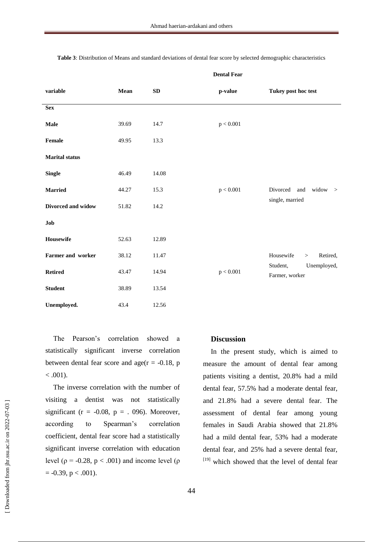| variable              | Mean  | SD    | p-value   | Tukey post hoc test                       |
|-----------------------|-------|-------|-----------|-------------------------------------------|
| <b>Sex</b>            |       |       |           |                                           |
| Male                  | 39.69 | 14.7  | p < 0.001 |                                           |
| Female                | 49.95 | 13.3  |           |                                           |
| <b>Marital</b> status |       |       |           |                                           |
| <b>Single</b>         | 46.49 | 14.08 |           |                                           |
| <b>Married</b>        | 44.27 | 15.3  | p < 0.001 | Divorced<br>widow<br>and<br>$\rightarrow$ |
| Divorced and widow    | 51.82 | 14.2  |           | single, married                           |
| Job                   |       |       |           |                                           |
| Housewife             | 52.63 | 12.89 |           |                                           |
| Farmer and worker     | 38.12 | 11.47 |           | Housewife<br>Retired,<br>$\geq$           |
| <b>Retired</b>        | 43.47 | 14.94 | p < 0.001 | Student,<br>Unemployed,<br>Farmer, worker |
| <b>Student</b>        | 38.89 | 13.54 |           |                                           |
| Unemployed.           | 43.4  | 12.56 |           |                                           |

**Table 3**: Distribution of Means and standard deviations of dental fear score by selected demographic characteristics

**Dental Fear**

The Pearson's correlation showed a statistically significant inverse correlation between dental fear score and  $age(r = -0.18, p)$  $< .001$ ).

The inverse correlation with the number of visiting a dentist was not statistically significant ( $r = -0.08$ ,  $p = .096$ ). Moreover, according to Spearman's correlation coefficient, dental fear score had a statistically significant inverse correlation with education level ( $\rho = -0.28$ ,  $p < .001$ ) and income level ( $\rho$  $= -0.39$ ,  $p < .001$ ).

#### **Discussion**

In the present study, which is aimed to measure the amount of dental fear among patients visiting a dentist, 20.8% had a mild dental fear, 57.5% had a moderate dental fear, and 21.8% had a severe dental fear. The assessment of dental fear among young females in Saudi Arabia showed that 21.8% had a mild dental fear, 53% had a moderate dental fear, and 25% had a severe dental fear, [19] which showed that the level of dental fear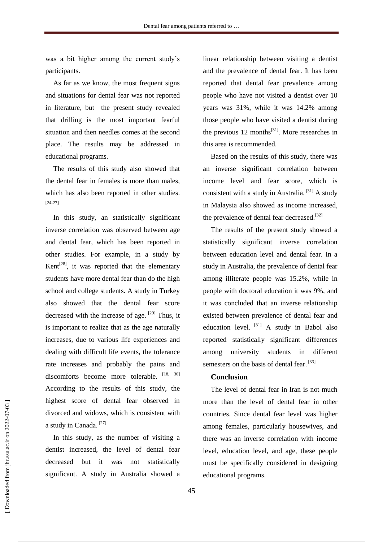was a bit higher among the current study's participants.

As far as we know, the most frequent signs and situations for dental fear was not reported in literature, but the present study revealed that drilling is the most important fearful situation and then needles comes at the second place. The results may be addressed in educational programs.

The results of this study also showed that the dental fear in females is more than males, which has also been reported in other studies. [24-27]

In this study, an statistically significant inverse correlation was observed between age and dental fear, which has been reported in other studies. For example, in a study by Kent<sup>[28]</sup>, it was reported that the elementary students have more dental fear than do the high school and college students. A study in Turkey also showed that the dental fear score decreased with the increase of age.  $[29]$  Thus, it is important to realize that as the age naturally increases, due to various life experiences and dealing with difficult life events, the tolerance rate increases and probably the pains and discomforts become more tolerable. [18, 30] According to the results of this study, the highest score of dental fear observed in divorced and widows, which is consistent with a study in Canada. [27]

In this study, as the number of visiting a dentist increased, the level of dental fear decreased but it was not statistically significant. A study in Australia showed a

linear relationship between visiting a dentist and the prevalence of dental fear. It has been reported that dental fear prevalence among people who have not visited a dentist over 10 years was 31%, while it was 14.2% among those people who have visited a dentist during the previous  $12$  months<sup>[31]</sup>. More researches in this area is recommended.

Based on the results of this study, there was an inverse significant correlation between income level and fear score, which is consistent with a study in Australia.  $[31]$  A study in Malaysia also showed as income increased, the prevalence of dental fear decreased.<sup>[32]</sup>

The results of the present study showed a statistically significant inverse correlation between education level and dental fear. In a study in Australia, the prevalence of dental fear among illiterate people was 15.2%, while in people with doctoral education it was 9%, and it was concluded that an inverse relationship existed between prevalence of dental fear and education level.  $[31]$  A study in Babol also reported statistically significant differences among university students in different semesters on the basis of dental fear.<sup>[33]</sup>

## **Conclusion**

The level of dental fear in Iran is not much more than the level of dental fear in other countries. Since dental fear level was higher among females, particularly housewives, and there was an inverse correlation with income level, education level, and age, these people must be specifically considered in designing educational programs.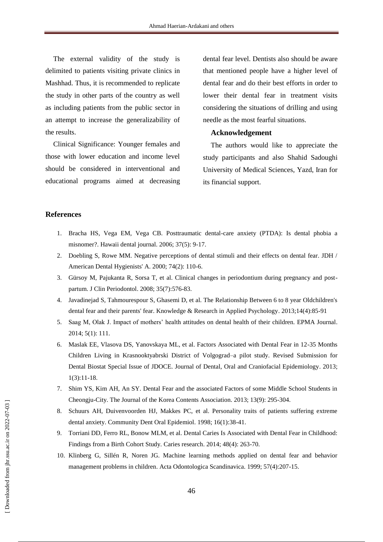The external validity of the study is delimited to patients visiting private clinics in Mashhad. Thus, it is recommended to replicate the study in other parts of the country as well as including patients from the public sector in an attempt to increase the generalizability of the results.

Clinical Significance: Younger females and those with lower education and income level should be considered in interventional and educational programs aimed at decreasing dental fear level. Dentists also should be aware that mentioned people have a higher level of dental fear and do their best efforts in order to lower their dental fear in treatment visits considering the situations of drilling and using needle as the most fearful situations.

## **Acknowledgement**

The authors would like to appreciate the study participants and also Shahid Sadoughi University of Medical Sciences, Yazd, Iran for its financial support.

#### **References**

- 1. Bracha HS, Vega EM, Vega CB. Posttraumatic dental-care anxiety (PTDA): Is dental phobia a misnomer?. Hawaii dental journal. 2006; 37(5): 9-17.
- 2. Doebling S, Rowe MM. Negative perceptions of dental stimuli and their effects on dental fear. JDH / American Dental Hygienists' A. 2000; 74(2): 110-6.
- 3. Gürsoy M, Pajukanta R, Sorsa T, et al. Clinical changes in periodontium during pregnancy and postpartum. J Clin Periodontol. 2008; 35(7):576-83.
- 4. Javadinejad S, Tahmourespour S, Ghasemi D, et al. The Relationship Between 6 to 8 year Oldchildren's dental fear and their parents' fear. Knowledge & Research in Applied Psychology. 2013;14(4):85-91
- 5. Saag M, Olak J. Impact of mothers' health attitudes on dental health of their children. EPMA Journal. 2014; 5(1): 111.
- 6. Maslak EE, Vlasova DS, Yanovskaya ML, et al. Factors Associated with Dental Fear in 12-35 Months Children Living in Krasnooktyabrski District of Volgograd–a pilot study. Revised Submission for Dental Biostat Special Issue of JDOCE. Journal of Dental, Oral and Craniofacial Epidemiology. 2013; 1(3):11-18.
- 7. Shim YS, Kim AH, An SY. Dental Fear and the associated Factors of some Middle School Students in Cheongju-City. The Journal of the Korea Contents Association. 2013; 13(9): 295-304.
- 8. Schuurs AH, Duivenvoorden HJ, Makkes PC, et al. Personality traits of patients suffering extreme dental anxiety. Community Dent Oral Epidemiol. 1998; 16(1):38-41.
- 9. Torriani DD, Ferro RL, Bonow MLM, et al. Dental Caries Is Associated with Dental Fear in Childhood: Findings from a Birth Cohort Study. Caries research. 2014; 48(4): 263-70.
- 10. Klinberg G, Sillén R, Noren JG. Machine learning methods applied on dental fear and behavior management problems in children. Acta Odontologica Scandinavica. 1999; 57(4):207-15.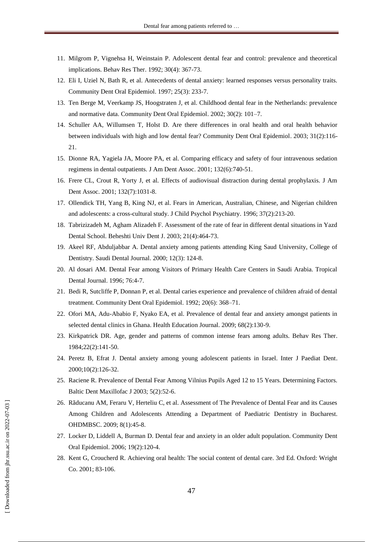- 11. Milgrom P, Vignehsa H, Weinstain P. Adolescent dental fear and control: prevalence and theoretical implications. Behav Res Ther. 1992; 30(4): 367-73.
- 12. Eli I, Uziel N, Bath R, et al. Antecedents of dental anxiety: learned responses versus personality traits. Community Dent Oral Epidemiol. 1997; 25(3): 233-7.
- 13. Ten Berge M, Veerkamp JS, Hoogstraten J, et al. Childhood dental fear in the Netherlands: prevalence and normative data. Community Dent Oral Epidemiol. 2002; 30(2): 101–7.
- 14. Schuller AA, Willumsen T, Holst D. Are there differences in oral health and oral health behavior between individuals with high and low dental fear? Community Dent Oral Epidemiol. 2003; 31(2):116- 21.
- 15. Dionne RA, Yagiela JA, Moore PA, et al. Comparing efficacy and safety of four intravenous sedation regimens in dental outpatients. J Am Dent Assoc. 2001; 132(6):740-51.
- 16. Frere CL, Crout R, Yorty J, et al. Effects of audiovisual distraction during dental prophylaxis. J Am Dent Assoc. 2001; 132(7):1031-8.
- 17. Ollendick TH, Yang B, King NJ, et al. Fears in American, Australian, Chinese, and Nigerian children and adolescents: a cross-cultural study. J Child Psychol Psychiatry. 1996; 37(2):213-20.
- 18. Tabrizizadeh M, Agham Alizadeh F. Assessment of the rate of fear in different dental situations in Yazd Dental School. Beheshti Univ Dent J. 2003; 21(4):464-73.
- 19. Akeel RF, Abduljabbar A. Dental anxiety among patients attending King Saud University, College of Dentistry. Saudi Dental Journal. 2000; 12(3): 124-8.
- 20. Al dosari AM. Dental Fear among Visitors of Primary Health Care Centers in Saudi Arabia. Tropical Dental Journal. 1996; 76:4-7.
- 21. Bedi R, Sutcliffe P, Donnan P, et al. Dental caries experience and prevalence of children afraid of dental treatment. Community Dent Oral Epidemiol. 1992; 20(6): 368–71.
- 22. Ofori MA, Adu-Ababio F, Nyako EA, et al. Prevalence of dental fear and anxiety amongst patients in selected dental clinics in Ghana. Health Education Journal. 2009; 68(2):130-9.
- 23. Kirkpatrick DR. Age, gender and patterns of common intense fears among adults. Behav Res Ther. 1984;22(2):141-50.
- 24. Peretz B, Efrat J. Dental anxiety among young adolescent patients in Israel. Inter J Paediat Dent. 2000;10(2):126-32.
- 25. Raciene R. Prevalence of Dental Fear Among Vilnius Pupils Aged 12 to 15 Years. Determining Factors. Baltic Dent Maxillofac J 2003; 5(2):52-6.
- 26. Rãducanu AM, Feraru V, Herteliu C, et al. Assessment of The Prevalence of Dental Fear and its Causes Among Children and Adolescents Attending a Department of Paediatric Dentistry in Bucharest. OHDMBSC. 2009; 8(1):45-8.
- 27. Locker [D, Liddell A, Burman D](http://www3.interscience.wiley.com/journal/119354230/abstract?CRETRY=1&SRETRY=0#c1). Dental fear and anxiety in an older adult population. Community Dent Oral Epidemiol. 200[6; 19\(](http://www3.interscience.wiley.com/journal/119354224/issue)2):120-4.
- 28. Kent G, Croucherd R. Achieving oral health: The social content of dental care. 3rd Ed. Oxford: Wright Co. 2001; 83-106.